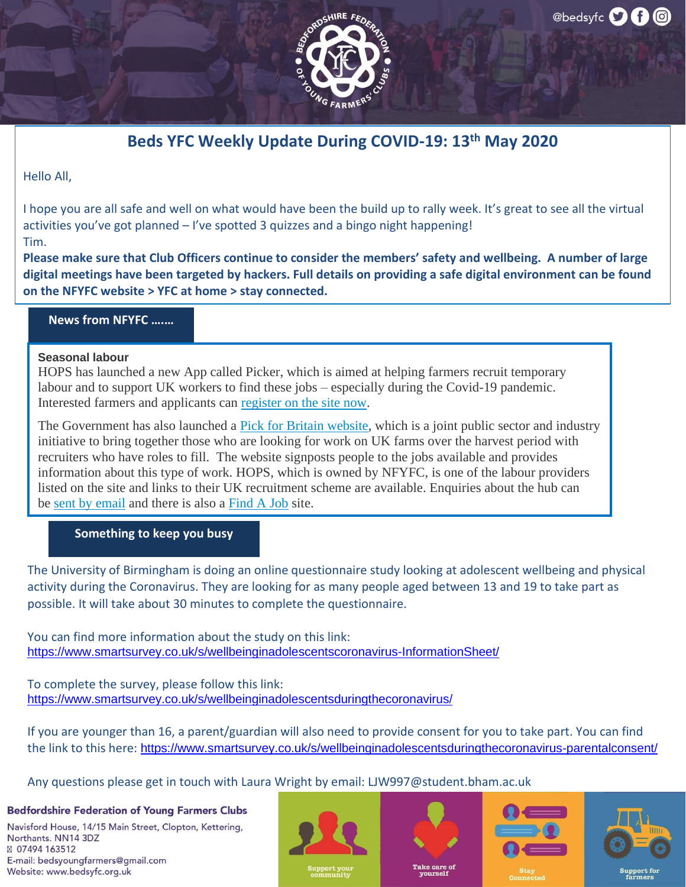

### **Beds YFC Weekly Update During COVID-19: 13th May 2020**

Hello All,

I hope you are all safe and well on what would have been the build up to rally week. It's great to see all the virtual activities you've got planned  $-1$ 've spotted 3 quizzes and a bingo night happening! Tim.

**Please make sure that Club Officers continue to consider the members' safety and wellbeing. A number of large digital meetings have been targeted by hackers. Full details on providing a safe digital environment can be found on the NFYFC website > YFC at home > stay connected.**

#### **News from NFYFC ….…**

#### **Seasonal labour**

HOPS has launched a new App called Picker, which is aimed at helping farmers recruit temporary labour and to support UK workers to find these jobs – especially during the Covid-19 pandemic. Interested farmers and applicants can [register on the site now.](http://picker.work/)

The Government has also launched a [Pick for Britain website,](https://pickforbritain.org.uk/) which is a joint public sector and industry initiative to bring together those who are looking for work on UK farms over the harvest period with recruiters who have roles to fill. The website signposts people to the jobs available and provides information about this type of work. HOPS, which is owned by NFYFC, is one of the labour providers listed on the site and links to their UK recruitment scheme are available. Enquiries about the hub can be [sent by email](mailto:accesstolabourfoodchain@defra.gov.uk) and there is also a [Find A Job](http://www.smartcdn.co.uk/SMART_LIVE/mailresponse.asp?tid=E2231F62-7D2C-427C-9696-D0B9C4B07B95&em=63668&turl=http://www.smartcdn.co.uk/SMART_LIVE/mailresponse.asp%7Cq%7Ctid=1%7Ca%7Cem=54991%7Ca%7Cturl=https://www.gov.uk/find-a-job) site.

#### **Something to keep you busy**

The University of Birmingham is doing an online questionnaire study looking at adolescent wellbeing and physical activity during the Coronavirus. They are looking for as many people aged between 13 and 19 to take part as possible. It will take about 30 minutes to complete the questionnaire.

You can find more information about the study on this link: <https://www.smartsurvey.co.uk/s/wellbeinginadolescentscoronavirus-InformationSheet/>

To complete the survey, please follow this link: <https://www.smartsurvey.co.uk/s/wellbeinginadolescentsduringthecoronavirus/>

If you are younger than 16, a parent/guardian will also need to provide consent for you to take part. You can find the link to this here: <https://www.smartsurvey.co.uk/s/wellbeinginadolescentsduringthecoronavirus-parentalconsent/>

Any questions please get in touch with Laura Wright by email: LJW997@student.bham.ac.uk

### **Bedfordshire Federation of Young Farmers Clubs**

Navisford House, 14/15 Main Street, Clopton, Kettering, Northants, NN14 3DZ ⊠ 07494 163512 E-mail: bedsyoungfarmers@gmail.com Website: www.bedsyfc.org.uk